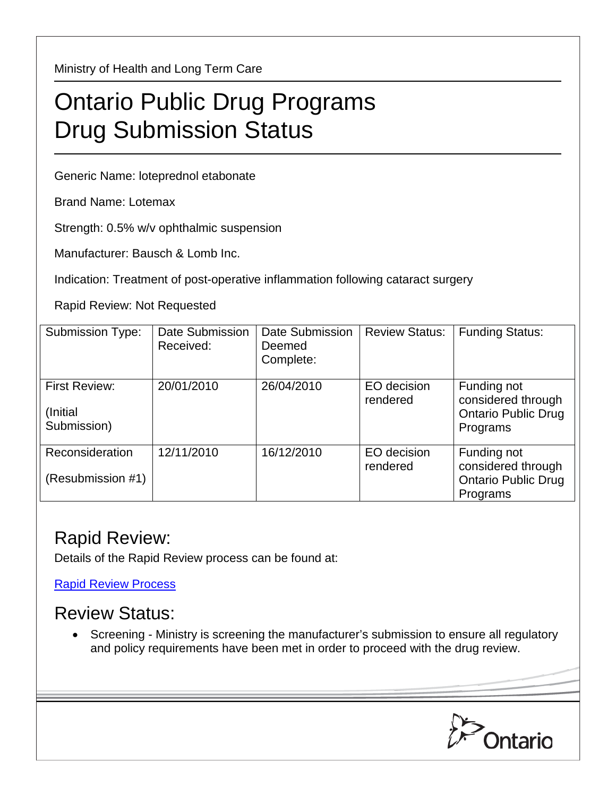Ministry of Health and Long Term Care

## Ontario Public Drug Programs Drug Submission Status

Generic Name: loteprednol etabonate

Brand Name: Lotemax

Strength: 0.5% w/v ophthalmic suspension

Manufacturer: Bausch & Lomb Inc.

Indication: Treatment of post-operative inflammation following cataract surgery

Rapid Review: Not Requested

| <b>Submission Type:</b>                          | Date Submission<br>Received: | Date Submission<br>Deemed<br>Complete: | <b>Review Status:</b>   | <b>Funding Status:</b>                                                      |
|--------------------------------------------------|------------------------------|----------------------------------------|-------------------------|-----------------------------------------------------------------------------|
| <b>First Review:</b><br>(Initial)<br>Submission) | 20/01/2010                   | 26/04/2010                             | EO decision<br>rendered | Funding not<br>considered through<br><b>Ontario Public Drug</b><br>Programs |
| Reconsideration<br>(Resubmission #1)             | 12/11/2010                   | 16/12/2010                             | EO decision<br>rendered | Funding not<br>considered through<br><b>Ontario Public Drug</b><br>Programs |

## Rapid Review:

Details of the Rapid Review process can be found at:

[Rapid Review Process](http://www.health.gov.on.ca/en/pro/programs/drugs/drug_submissions/rapid_review_process.aspx)

## Review Status:

• Screening - Ministry is screening the manufacturer's submission to ensure all regulatory and policy requirements have been met in order to proceed with the drug review.